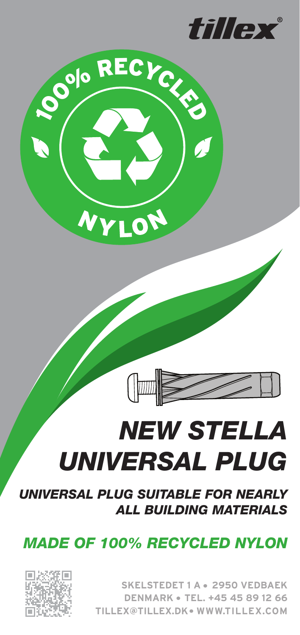



# **NEW STELLA UNIVERSAL PLUG**

**UNIVERSAL PLUG SUITABLE FOR NEARLY ALL BUILDING MATERIALS** 

 $\sqrt{\mathbb{Z}}$ 

**MADE OF 100% RECYCLED NYLON** 



**SKELSTEDET 1 A · 2950 VEDBAEK DENMARK • TEL. +45 45 89 12 66 TILLEX@TILLEX.DK.WWW.TILLEX.COM**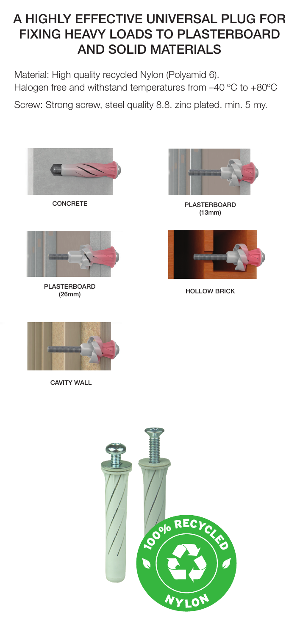### A HIGHLY EFFECTIVE UNIVERSAL PLUG FOR FIXING HEAVY LOADS TO PLASTERBOARD **AND SOLID MATERIALS**

Material: High quality recycled Nylon (Polyamid 6). Halogen free and withstand temperatures from  $-40$  °C to  $+80$ °C

Screw: Strong screw, steel quality 8.8, zinc plated, min. 5 my.



CONCRETE



PLASTERBOARD  $(26$ mm $)$ 



PLASTERBOARD  $(13mm)$ 



HOLLOW BRICK



CAVITY WALL

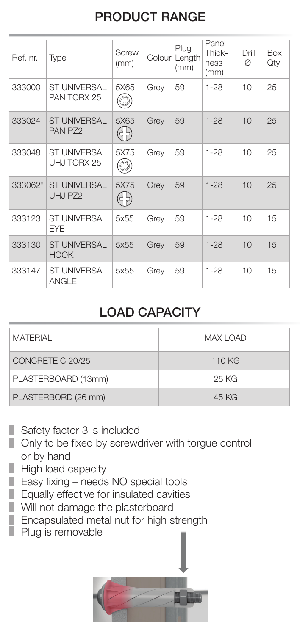## **PRODUCT RANGE**

| Ref. nr. | <b>Type</b>                         | Screw<br>(mm)    |      | Plug<br>Colour Length<br>(mm) | Panel<br>Thick-<br>ness<br>(mm) | Drill<br>Ø | Box<br>Qty |
|----------|-------------------------------------|------------------|------|-------------------------------|---------------------------------|------------|------------|
| 333000   | <b>ST UNIVERSAL</b><br>PAN TORX 25  | 5X65             | Grey | 59                            | 1-28                            | 10         | 25         |
| 333024   | <b>ST UNIVERSAL</b><br>PAN PZ2      | 5X65<br>3F<br>SF | Grey | 59                            | $1 - 28$                        | 10         | 25         |
| 333048   | <b>ST UNIVERSAL</b><br>UHJ TORX 25  | 5X75<br>O        | Grey | 59                            | $1 - 28$                        | 10         | 25         |
| 333062*  | <b>ST UNIVERSAL</b><br>UHJ PZ2      | 5X75<br>35<br>35 | Grey | 59                            | $1 - 28$                        | 10         | 25         |
| 333123   | <b>ST UNIVERSAL</b><br><b>EYE</b>   | 5x55             | Grey | 59                            | $1 - 28$                        | 10         | 15         |
| 333130   | <b>ST UNIVERSAL</b><br><b>HOOK</b>  | 5x55             | Grey | 59                            | $1 - 28$                        | 10         | 15         |
| 333147   | <b>ST UNIVERSAL</b><br><b>ANGLE</b> | 5x55             | Grey | 59                            | $1 - 28$                        | 10         | 15         |

#### LOAD CAPACITY

| MATFRIAI            | <b>MAX LOAD</b> |  |  |  |
|---------------------|-----------------|--|--|--|
| CONCRETE C 20/25    | 110 KG          |  |  |  |
| PLASTERBOARD (13mm) | 25 KG           |  |  |  |
| PLASTERBORD (26 mm) | 45 KG           |  |  |  |

- $\blacksquare$  Safety factor 3 is included
- $\Box$  Only to be fixed by screwdriver with torgue control or by hand
- $\parallel$  High load capacity
- $\Box$  Easy fixing needs NO special tools
- $\blacksquare$  Equally effective for insulated cavities
- $\blacksquare$  Will not damage the plasterboard
- $\blacksquare$  Encapsulated metal nut for high strength
- **Plug is removable**